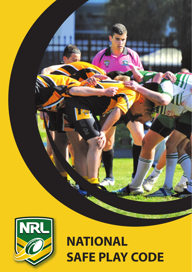

# **NATIONAL SAFE PLAY CODE**

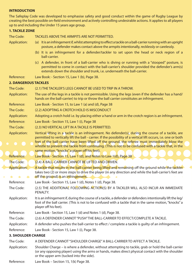## **INTRODUCTION**

The Safeplay Code was developed to emphasise safety and good conduct within the game of Rugby League by creating the best possible on-field environment and actively controlling undesirable actions. It applies to all players up to and including the Under 15 years age group.

| <b>1. TACKLE ZONE</b>       |                                                                                                                                                                                                                                                                                                                                                                                                                                    |
|-----------------------------|------------------------------------------------------------------------------------------------------------------------------------------------------------------------------------------------------------------------------------------------------------------------------------------------------------------------------------------------------------------------------------------------------------------------------------|
| The Code:                   | TACKLES ABOVE THE ARMPITS ARE NOT PERMITTED.                                                                                                                                                                                                                                                                                                                                                                                       |
| <b>Application:</b>         | (a) It is an infringement if, whilst attempting to effect a tackle on a ball-carrier running with an upright<br>posture, a defender makes contact above the armpits intentionally, recklessly or carelessly.                                                                                                                                                                                                                       |
|                             | (b) It is an infringement for a defender/tackler to set upon the head or neck region of a<br>ball-carrier.                                                                                                                                                                                                                                                                                                                         |
|                             | (c) A defender, in front of a ball-carrier who is diving or running with a "stooped" posture, is<br>permitted to come in contact with the ball-carrier's shoulder provided the defender's arm(s)<br>extends down the shoulder and trunk, i.e. underneath the ball-carrier.                                                                                                                                                         |
| Reference:                  | Law Book: - Section 15, Law 1 (b), Page 38.                                                                                                                                                                                                                                                                                                                                                                                        |
| <b>2. DANGEROUS TACKLES</b> |                                                                                                                                                                                                                                                                                                                                                                                                                                    |
| The Code:                   | (2.1) THE TACKLER'S LEGS CANNOT BE USED TO TRIP IN A THROW.                                                                                                                                                                                                                                                                                                                                                                        |
| <b>Application:</b>         | The use of the legs in a tackle is not permissible. Using the legs (even if the defender has a hand/<br>hands on the ball-carrier) to trip or throw the ball carrier constitutes an infringement.                                                                                                                                                                                                                                  |
| Reference:                  | Law Book - Section 15, to Law 1 (a) and (d), Page 38                                                                                                                                                                                                                                                                                                                                                                               |
| The Code:                   | (2.2) ADOPTING A CROTCH HOLD IS MISCONDUCT                                                                                                                                                                                                                                                                                                                                                                                         |
| Application:                | Adopting a crotch hold i.e. by placing either a hand or arm in the crotch region is an infringement.                                                                                                                                                                                                                                                                                                                               |
| Reference:                  | Law Book - Section 15, Law 1 (i), Page 38                                                                                                                                                                                                                                                                                                                                                                                          |
| The Code:                   | (2.3) NO VERTICAL LIFT IN A TACKLE IS PERMITTED.                                                                                                                                                                                                                                                                                                                                                                                   |
| <b>Application:</b>         | Vertical lifting in a tackle is an infringement. No defender(s), during the course of a tackle, are<br>permitted to vertically lift the ball - carrier. If the possibility of a vertical lift occurs, i.e. one or both<br>feet of the ball-carrier have been lifted off the ground, the referee must immediately blow the<br>whistle to prevent the tackle from continuing. (This is not to be confused with a tackle that, in the |
|                             | same motion, "knocks" a player off his feet).                                                                                                                                                                                                                                                                                                                                                                                      |
| Reference:                  | Law Book - Section 15, Law 1 (d), and Notes to Law 1(d), Page 38<br>(2.4) A BALL-CARRIER CANNOT BE LIFTED AND DRIVEN.                                                                                                                                                                                                                                                                                                              |
| The Code:                   |                                                                                                                                                                                                                                                                                                                                                                                                                                    |
| Application:                | A tackle that results in the ball-carrier being lifted and remaining off the ground while the tackler<br>takes two (2) or more steps to drive the player (in any direction and while the ball-carrier's feet are<br>off the ground) is an infringement.                                                                                                                                                                            |
| Reference:                  | Law Book - Section 15, Law 1 (d), Notes 1 (d), Page 38.                                                                                                                                                                                                                                                                                                                                                                            |
| The Code:                   | (2.5) THE ADDITIONAL FOLLOWING ACTION(S) BY A TACKLER WILL ALSO INCUR AN IMMEDIATE<br>PENALTY.                                                                                                                                                                                                                                                                                                                                     |
| Application:                | It is an infringement if, during the course of a tackle, a defender or defenders intentionally lift the leg/<br>foot of the ball carrier. (This is not to be confused with a tackle that in the same motion, "knocks" a<br>player off his feet).                                                                                                                                                                                   |
| Reference:                  | Law Book - Section 15, Law 1 (d) and Notes 1 (d), Page 38.                                                                                                                                                                                                                                                                                                                                                                         |
| The Code:                   | (2.6) A DEFENDER CANNOT "PUSH" THE BALL-CARRIER TO EFFECT/COMPLETE A TACKLE.                                                                                                                                                                                                                                                                                                                                                       |
| Application:                | A defender who pushes the ball-carrier to effect / complete a tackle is quilty of an infringement.                                                                                                                                                                                                                                                                                                                                 |
| Reference:                  | Law Book - Section 15, Law 1 (i), Page 38.                                                                                                                                                                                                                                                                                                                                                                                         |
| <b>3. SHOULDER CHARGE</b>   |                                                                                                                                                                                                                                                                                                                                                                                                                                    |
| The Code:                   | A DEFENDER CANNOT "SHOULDER CHARGE" A BALL-CARRIER TO AFFECT A TACKLE.                                                                                                                                                                                                                                                                                                                                                             |
| Application:                | Shoulder Charge – is where a defender, without attempting to tackle, grab or hold the ball-carrier<br>(or any opposing player) using the arms or hands, makes direct physical contact with the shoulder<br>or the upper arm (tucked into the side).                                                                                                                                                                                |

Reference: Law Book – Section 15, 1(k) Page 38.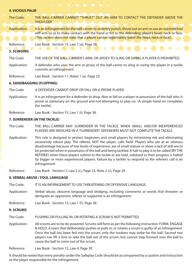#### **4. VICIOUS PALM**

The Code: THE BALL-CARRIER CANNOT "THRUST" OUT AN ARM TO CONTACT THE DEFENDER ABOVE THE SHOULDER. Application: It is an infringement for the ball-carrier to violently punch, thrust out an arm or use an outstretched stiff arm so as to make contact with the hand or fist to the defending player's head, neck or face. (This section does not state that a player cannot legitimately 'palm' the head, neck or face). Reference: Law Book - Section 15, Law 1 (a), Page 38.

# **5. SLINGING**

The Code: THE USE OF THE BALL-CARRIER'S ARM, OR JERSEY TO SLING OR SWING A PLAYER IS PROHIBITED.

Application: A defender who uses the arm or jersey of the ball-carrier to sling or swing the player in a tackle commits an infringement.

Reference: Law Book - Section 11, Notes 1 (a). Page 23.

#### **6. SANDBAGGING (FLOPPING)**

The Code: A DEFENDER CANNOT DROP OR FALL ON A PRONE PLAYER.

Application: It is an infringement for a defender to drop, dive or fall on a player in possession of the ball who is prone or stationary on the ground and not attempting to play-on. (A simple hand-on completes the tackle).

Reference: Law Book - Section 15, Law 1 (i), Page 38.

#### **7. SURRENDER (IN THE TACKLE)**

- The Code: THE BALL-CARRIER MAY SURRENDER IN THE TACKLE. WHEN SMALL AND/OR INEXPERIENCED PLAYERS ARE INVOLVED IN A "SURRENDER", DEFENDERS MUST NOT COMPLETE THE TACKLE.
- Application: This rule is designed to protect beginners and small players by minimising risk and eliminating excessively robust play. The referee, NOT the player, calls 'held'. Players who are at an obvious disadvantage because of low levels of experience, are of small stature or show a lack of skill are to be protected when in possession of the ball and being tackled. A halt to play is to be called (BY THE REFEREE) when these players submit to the tackle or are held, subdued or their progress is halted by bigger or more experienced players. Failure by a tackler to respond to the referee's call is an infringement.

Reference: Law Book - Section II, Law 2 (c), Page 23, Note 2 (c), Page 24.

#### **8. VERBAL ABUSE / FOUL LANGUAGE**

The Code: IT IS AN INFRINGEMENT TO USE THREATENING OR OFFENSIVE LANGUAGE.

Application: Verbal abuse, obscene language and sledging, including comments or words that threaten or denigrate an opponent, referee or supporter is an infringement.

Reference: Law Book - Section 15, Law 1 (f), Page 38.

**9. SCRUMS**

The Code: PUSHING OR PULLING IN, OR ROTATING A SCRUM IS NOT PERMITTED.

Application: All scrums are to be de-powered. Scrums will form as per the following instruction: FORM, ENGAGE & HOLD. A team that deliberately pushes or pulls in, or rotates a scrum is guilty of an infringement. Once the ball has been fed into the scrum, only the hookers may strike for the ball. Second row players can lift a foot to rake the ball out of the scrum, but cannot step forward over the ball to cause the ball to come out of the scrum.

Reference: Law Book - Section 12, Law 4, Page 30

It should be noted that every penalty under the Safeplay Code should be accompanied by a caution and instruction to the player responsible for the infringement.